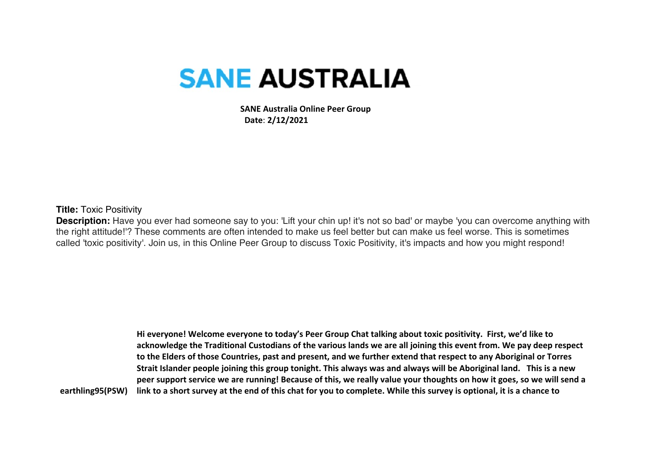## **SANE AUSTRALIA**

 **SANE Australia Online Peer Group Date**: **2/12/2021**

## **Title:** Toxic Positivity

**Description:** Have you ever had someone say to you: 'Lift your chin up! it's not so bad' or maybe 'you can overcome anything with the right attitude!'? These comments are often intended to make us feel better but can make us feel worse. This is sometimes called 'toxic positivity'. Join us, in this Online Peer Group to discuss Toxic Positivity, it's impacts and how you might respond!

**earthling95(PSW) Hi everyone! Welcome everyone to today's Peer Group Chat talking about toxic positivity. First, we'd like to acknowledge the Traditional Custodians of the various lands we are all joining this event from. We pay deep respect to the Elders of those Countries, past and present, and we further extend that respect to any Aboriginal or Torres Strait Islander people joining this group tonight. This always was and always will be Aboriginal land. This is a new peer support service we are running! Because of this, we really value your thoughts on how it goes, so we will send a link to a short survey at the end of this chat for you to complete. While this survey is optional, it is a chance to**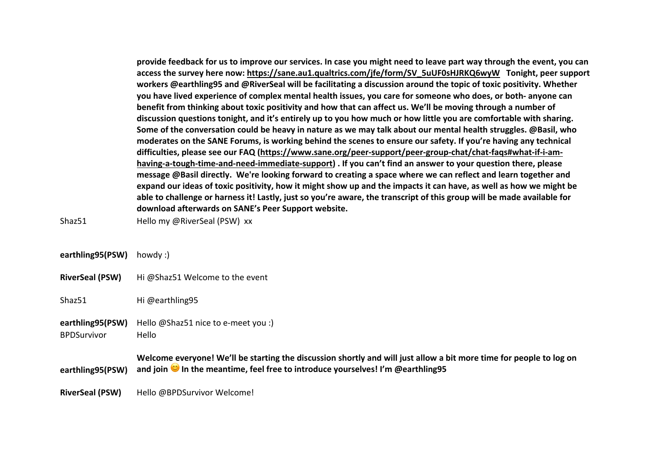**provide feedback for us to improve our services. In case you might need to leave part way through the event, you can access the survey here now: https://sane.au1.qualtrics.com/jfe/form/SV\_5uUF0sHJRKQ6wyW Tonight, peer support workers @earthling95 and @RiverSeal will be facilitating a discussion around the topic of toxic positivity. Whether you have lived experience of complex mental health issues, you care for someone who does, or both- anyone can benefit from thinking about toxic positivity and how that can affect us. We'll be moving through a number of discussion questions tonight, and it's entirely up to you how much or how little you are comfortable with sharing. Some of the conversation could be heavy in nature as we may talk about our mental health struggles. @Basil, who moderates on the SANE Forums, is working behind the scenes to ensure our safety. If you're having any technical difficulties, please see our FAQ (https://www.sane.org/peer-support/peer-group-chat/chat-faqs#what-if-i-amhaving-a-tough-time-and-need-immediate-support) . If you can't find an answer to your question there, please message @Basil directly. We're looking forward to creating a space where we can reflect and learn together and expand our ideas of toxic positivity, how it might show up and the impacts it can have, as well as how we might be able to challenge or harness it! Lastly, just so you're aware, the transcript of this group will be made available for download afterwards on SANE's Peer Support website.**

Shaz51 Hello my @RiverSeal (PSW) xx

| earthling95(PSW) | howdy: |
|------------------|--------|
|------------------|--------|

**RiverSeal (PSW)** Hi @Shaz51 Welcome to the event

Shaz51 Hi @earthling95

- **earthling95(PSW)** Hello @Shaz51 nice to e-meet you :)
- BPDSurvivor Hello

**earthling95(PSW) Welcome everyone! We'll be starting the discussion shortly and will just allow a bit more time for people to log on and join In the meantime, feel free to introduce yourselves! I'm @earthling95**

**RiverSeal (PSW)** Hello @BPDSurvivor Welcome!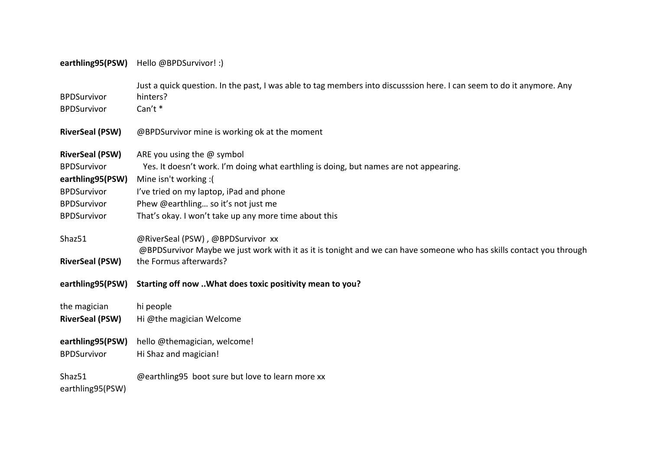## **earthling95(PSW)** Hello @BPDSurvivor! :)

| <b>BPDSurvivor</b><br><b>BPDSurvivor</b>                                                                                           | Just a quick question. In the past, I was able to tag members into discusssion here. I can seem to do it anymore. Any<br>hinters?<br>Can't *                                                                                                                                             |
|------------------------------------------------------------------------------------------------------------------------------------|------------------------------------------------------------------------------------------------------------------------------------------------------------------------------------------------------------------------------------------------------------------------------------------|
| <b>RiverSeal (PSW)</b>                                                                                                             | @BPDSurvivor mine is working ok at the moment                                                                                                                                                                                                                                            |
| <b>RiverSeal (PSW)</b><br><b>BPDSurvivor</b><br>earthling95(PSW)<br><b>BPDSurvivor</b><br><b>BPDSurvivor</b><br><b>BPDSurvivor</b> | ARE you using the $@$ symbol<br>Yes. It doesn't work. I'm doing what earthling is doing, but names are not appearing.<br>Mine isn't working:(<br>I've tried on my laptop, iPad and phone<br>Phew @earthling so it's not just me<br>That's okay. I won't take up any more time about this |
| Shaz51<br><b>RiverSeal (PSW)</b>                                                                                                   | @RiverSeal (PSW), @BPDSurvivor xx<br>@BPDSurvivor Maybe we just work with it as it is tonight and we can have someone who has skills contact you through<br>the Formus afterwards?                                                                                                       |
| earthling95(PSW)                                                                                                                   | Starting off now  What does toxic positivity mean to you?                                                                                                                                                                                                                                |
| the magician<br><b>RiverSeal (PSW)</b>                                                                                             | hi people<br>Hi @the magician Welcome                                                                                                                                                                                                                                                    |
| earthling95(PSW)<br><b>BPDSurvivor</b>                                                                                             | hello @themagician, welcome!<br>Hi Shaz and magician!                                                                                                                                                                                                                                    |
| Shaz51<br>earthling95(PSW)                                                                                                         | @earthling95 boot sure but love to learn more xx                                                                                                                                                                                                                                         |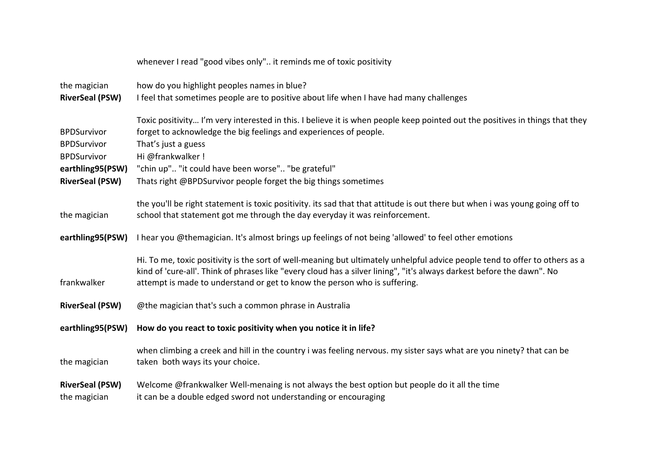|                                                                                                              | whenever I read "good vibes only" it reminds me of toxic positivity                                                                                                                                                                                                                                                                                                    |
|--------------------------------------------------------------------------------------------------------------|------------------------------------------------------------------------------------------------------------------------------------------------------------------------------------------------------------------------------------------------------------------------------------------------------------------------------------------------------------------------|
| the magician<br><b>RiverSeal (PSW)</b>                                                                       | how do you highlight peoples names in blue?<br>I feel that sometimes people are to positive about life when I have had many challenges                                                                                                                                                                                                                                 |
| <b>BPDSurvivor</b><br><b>BPDSurvivor</b><br><b>BPDSurvivor</b><br>earthling95(PSW)<br><b>RiverSeal (PSW)</b> | Toxic positivity I'm very interested in this. I believe it is when people keep pointed out the positives in things that they<br>forget to acknowledge the big feelings and experiences of people.<br>That's just a guess<br>Hi @frankwalker !<br>"chin up" "it could have been worse" "be grateful"<br>Thats right @BPDSurvivor people forget the big things sometimes |
| the magician                                                                                                 | the you'll be right statement is toxic positivity. its sad that that attitude is out there but when i was young going off to<br>school that statement got me through the day everyday it was reinforcement.                                                                                                                                                            |
| earthling95(PSW)                                                                                             | I hear you @themagician. It's almost brings up feelings of not being 'allowed' to feel other emotions                                                                                                                                                                                                                                                                  |
| frankwalker                                                                                                  | Hi. To me, toxic positivity is the sort of well-meaning but ultimately unhelpful advice people tend to offer to others as a<br>kind of 'cure-all'. Think of phrases like "every cloud has a silver lining", "it's always darkest before the dawn". No<br>attempt is made to understand or get to know the person who is suffering.                                     |
| <b>RiverSeal (PSW)</b>                                                                                       | @the magician that's such a common phrase in Australia                                                                                                                                                                                                                                                                                                                 |
| earthling95(PSW)                                                                                             | How do you react to toxic positivity when you notice it in life?                                                                                                                                                                                                                                                                                                       |
| the magician                                                                                                 | when climbing a creek and hill in the country i was feeling nervous. my sister says what are you ninety? that can be<br>taken both ways its your choice.                                                                                                                                                                                                               |
| <b>RiverSeal (PSW)</b><br>the magician                                                                       | Welcome @frankwalker Well-menaing is not always the best option but people do it all the time<br>it can be a double edged sword not understanding or encouraging                                                                                                                                                                                                       |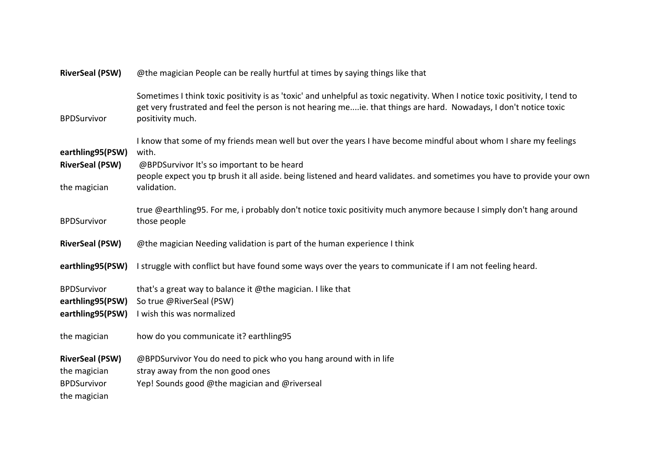| <b>RiverSeal (PSW)</b>                                     | @the magician People can be really hurtful at times by saying things like that                                                                                                                                                                                                                                    |
|------------------------------------------------------------|-------------------------------------------------------------------------------------------------------------------------------------------------------------------------------------------------------------------------------------------------------------------------------------------------------------------|
| <b>BPDSurvivor</b>                                         | Sometimes I think toxic positivity is as 'toxic' and unhelpful as toxic negativity. When I notice toxic positivity, I tend to<br>get very frustrated and feel the person is not hearing meie. that things are hard. Nowadays, I don't notice toxic<br>positivity much.                                            |
| earthling95(PSW)<br><b>RiverSeal (PSW)</b><br>the magician | I know that some of my friends mean well but over the years I have become mindful about whom I share my feelings<br>with.<br>@BPDSurvivor It's so important to be heard<br>people expect you tp brush it all aside. being listened and heard validates. and sometimes you have to provide your own<br>validation. |
| <b>BPDSurvivor</b>                                         | true @earthling95. For me, i probably don't notice toxic positivity much anymore because I simply don't hang around<br>those people                                                                                                                                                                               |
|                                                            | @the magician Needing validation is part of the human experience I think                                                                                                                                                                                                                                          |
| <b>RiverSeal (PSW)</b>                                     |                                                                                                                                                                                                                                                                                                                   |
| earthling95(PSW)                                           | I struggle with conflict but have found some ways over the years to communicate if I am not feeling heard.                                                                                                                                                                                                        |
| <b>BPDSurvivor</b><br>earthling95(PSW)<br>earthling95(PSW) | that's a great way to balance it @the magician. I like that<br>So true @RiverSeal (PSW)<br>I wish this was normalized                                                                                                                                                                                             |
| the magician                                               | how do you communicate it? earthling95                                                                                                                                                                                                                                                                            |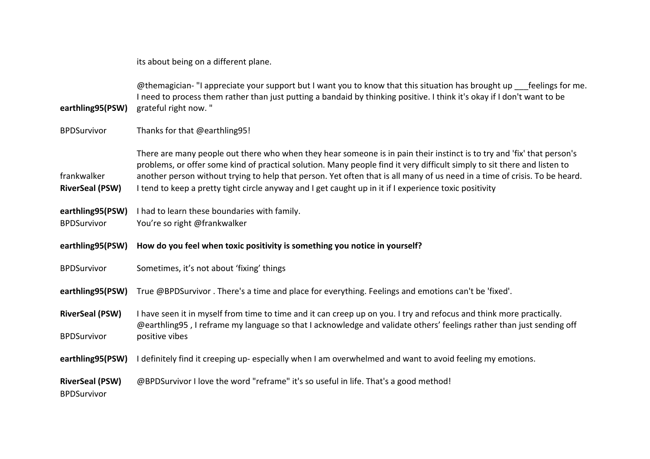its about being on a different plane.

**earthling95(PSW)** @themagician- "I appreciate your support but I want you to know that this situation has brought up feelings for me. I need to process them rather than just putting a bandaid by thinking positive. I think it's okay if I don't want to be grateful right now. "

BPDSurvivor Thanks for that @earthling95!

frankwalker There are many people out there who when they hear someone is in pain their instinct is to try and 'fix' that person's problems, or offer some kind of practical solution. Many people find it very difficult simply to sit there and listen to another person without trying to help that person. Yet often that is all many of us need in a time of crisis. To be heard. **RiverSeal (PSW)** I tend to keep a pretty tight circle anyway and I get caught up in it if I experience toxic positivity

**earthling95(PSW)** I had to learn these boundaries with family.

BPDSurvivor You're so right @frankwalker

**earthling95(PSW) How do you feel when toxic positivity is something you notice in yourself?** 

BPDSurvivor Sometimes, it's not about 'fixing' things

**earthling95(PSW)** True @BPDSurvivor . There's a time and place for everything. Feelings and emotions can't be 'fixed'.

**RiverSeal (PSW)** I have seen it in myself from time to time and it can creep up on you. I try and refocus and think more practically. **BPDSurvivor** @earthling95 , I reframe my language so that I acknowledge and validate others' feelings rather than just sending off positive vibes

**earthling95(PSW)** I definitely find it creeping up- especially when I am overwhelmed and want to avoid feeling my emotions.

**RiverSeal (PSW)** @BPDSurvivor I love the word "reframe" it's so useful in life. That's a good method!

BPDSurvivor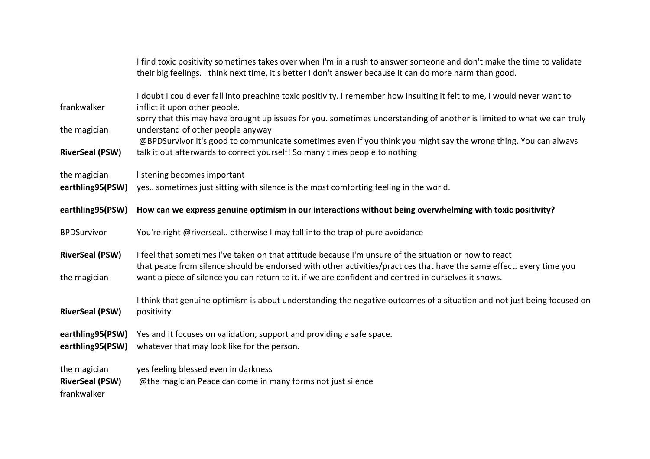|                                                       | I find toxic positivity sometimes takes over when I'm in a rush to answer someone and don't make the time to validate<br>their big feelings. I think next time, it's better I don't answer because it can do more harm than good.                                                                                                     |
|-------------------------------------------------------|---------------------------------------------------------------------------------------------------------------------------------------------------------------------------------------------------------------------------------------------------------------------------------------------------------------------------------------|
| frankwalker                                           | I doubt I could ever fall into preaching toxic positivity. I remember how insulting it felt to me, I would never want to<br>inflict it upon other people.<br>sorry that this may have brought up issues for you. sometimes understanding of another is limited to what we can truly                                                   |
| the magician<br><b>RiverSeal (PSW)</b>                | understand of other people anyway<br>@BPDSurvivor It's good to communicate sometimes even if you think you might say the wrong thing. You can always<br>talk it out afterwards to correct yourself! So many times people to nothing                                                                                                   |
| the magician<br>earthling95(PSW)                      | listening becomes important<br>yes sometimes just sitting with silence is the most comforting feeling in the world.                                                                                                                                                                                                                   |
| earthling95(PSW)                                      | How can we express genuine optimism in our interactions without being overwhelming with toxic positivity?                                                                                                                                                                                                                             |
| <b>BPDSurvivor</b>                                    | You're right @riverseal otherwise I may fall into the trap of pure avoidance                                                                                                                                                                                                                                                          |
| <b>RiverSeal (PSW)</b><br>the magician                | I feel that sometimes I've taken on that attitude because I'm unsure of the situation or how to react<br>that peace from silence should be endorsed with other activities/practices that have the same effect. every time you<br>want a piece of silence you can return to it. if we are confident and centred in ourselves it shows. |
| <b>RiverSeal (PSW)</b>                                | I think that genuine optimism is about understanding the negative outcomes of a situation and not just being focused on<br>positivity                                                                                                                                                                                                 |
| earthling95(PSW)<br>earthling95(PSW)                  | Yes and it focuses on validation, support and providing a safe space.<br>whatever that may look like for the person.                                                                                                                                                                                                                  |
| the magician<br><b>RiverSeal (PSW)</b><br>frankwalker | yes feeling blessed even in darkness<br>@the magician Peace can come in many forms not just silence                                                                                                                                                                                                                                   |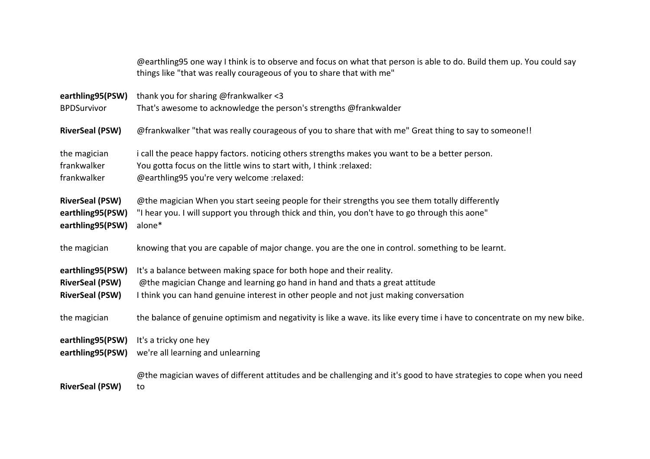|                        | @earthling95 one way I think is to observe and focus on what that person is able to do. Build them up. You could say<br>things like "that was really courageous of you to share that with me" |
|------------------------|-----------------------------------------------------------------------------------------------------------------------------------------------------------------------------------------------|
| earthling95(PSW)       | thank you for sharing @frankwalker <3                                                                                                                                                         |
| <b>BPDSurvivor</b>     | That's awesome to acknowledge the person's strengths @frankwalder                                                                                                                             |
| <b>RiverSeal (PSW)</b> | @frankwalker "that was really courageous of you to share that with me" Great thing to say to someone!!                                                                                        |
| the magician           | i call the peace happy factors. noticing others strengths makes you want to be a better person.                                                                                               |
| frankwalker            | You gotta focus on the little wins to start with, I think : relaxed:                                                                                                                          |
| frankwalker            | @earthling95 you're very welcome :relaxed:                                                                                                                                                    |
| <b>RiverSeal (PSW)</b> | @the magician When you start seeing people for their strengths you see them totally differently                                                                                               |
| earthling95(PSW)       | "I hear you. I will support you through thick and thin, you don't have to go through this aone"                                                                                               |
| earthling95(PSW)       | alone*                                                                                                                                                                                        |
| the magician           | knowing that you are capable of major change. you are the one in control. something to be learnt.                                                                                             |
| earthling95(PSW)       | It's a balance between making space for both hope and their reality.                                                                                                                          |
| <b>RiverSeal (PSW)</b> | @the magician Change and learning go hand in hand and thats a great attitude                                                                                                                  |
| <b>RiverSeal (PSW)</b> | I think you can hand genuine interest in other people and not just making conversation                                                                                                        |
| the magician           | the balance of genuine optimism and negativity is like a wave. its like every time i have to concentrate on my new bike.                                                                      |
| earthling95(PSW)       | It's a tricky one hey                                                                                                                                                                         |
| earthling95(PSW)       | we're all learning and unlearning                                                                                                                                                             |
|                        | @the magician waves of different attitudes and be challenging and it's good to have strategies to cope when you need                                                                          |
| <b>RiverSeal (PSW)</b> | to                                                                                                                                                                                            |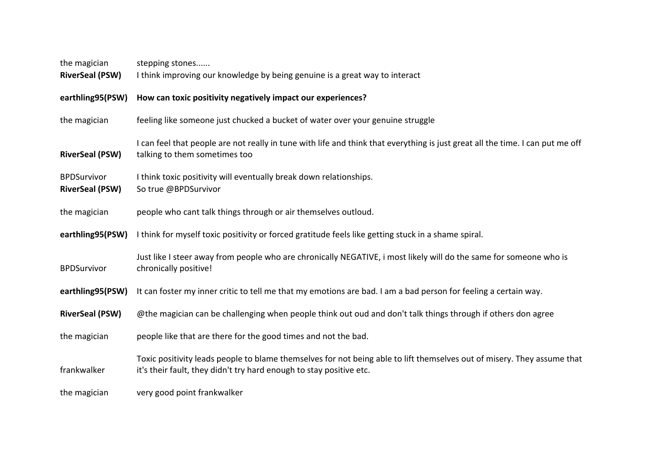| the magician                                 | stepping stones                                                                                                                                                                                |
|----------------------------------------------|------------------------------------------------------------------------------------------------------------------------------------------------------------------------------------------------|
| <b>RiverSeal (PSW)</b>                       | I think improving our knowledge by being genuine is a great way to interact                                                                                                                    |
| earthling95(PSW)                             | How can toxic positivity negatively impact our experiences?                                                                                                                                    |
| the magician                                 | feeling like someone just chucked a bucket of water over your genuine struggle                                                                                                                 |
| <b>RiverSeal (PSW)</b>                       | I can feel that people are not really in tune with life and think that everything is just great all the time. I can put me off<br>talking to them sometimes too                                |
| <b>BPDSurvivor</b><br><b>RiverSeal (PSW)</b> | I think toxic positivity will eventually break down relationships.<br>So true @BPDSurvivor                                                                                                     |
| the magician                                 | people who cant talk things through or air themselves outloud.                                                                                                                                 |
| earthling95(PSW)                             | I think for myself toxic positivity or forced gratitude feels like getting stuck in a shame spiral.                                                                                            |
| <b>BPDSurvivor</b>                           | Just like I steer away from people who are chronically NEGATIVE, i most likely will do the same for someone who is<br>chronically positive!                                                    |
| earthling95(PSW)                             | It can foster my inner critic to tell me that my emotions are bad. I am a bad person for feeling a certain way.                                                                                |
| <b>RiverSeal (PSW)</b>                       | @the magician can be challenging when people think out oud and don't talk things through if others don agree                                                                                   |
| the magician                                 | people like that are there for the good times and not the bad.                                                                                                                                 |
| frankwalker                                  | Toxic positivity leads people to blame themselves for not being able to lift themselves out of misery. They assume that<br>it's their fault, they didn't try hard enough to stay positive etc. |
| the magician                                 | very good point frankwalker                                                                                                                                                                    |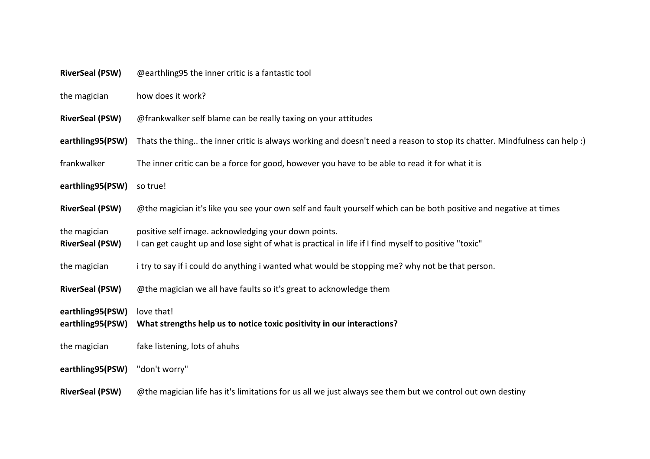| <b>RiverSeal (PSW)</b> | @earthling95 the inner critic is a fantastic tool |
|------------------------|---------------------------------------------------|
|------------------------|---------------------------------------------------|

the magician how does it work?

- **RiverSeal (PSW)** @frankwalker self blame can be really taxing on your attitudes
- earthling95(PSW) Thats the thing.. the inner critic is always working and doesn't need a reason to stop its chatter. Mindfulness can help :)
- frankwalker The inner critic can be a force for good, however you have to be able to read it for what it is
- **earthling95(PSW)** so true!
- **RiverSeal (PSW)** @the magician it's like you see your own self and fault yourself which can be both positive and negative at times
- the magician positive self image. acknowledging your down points.
- RiverSeal (PSW) I can get caught up and lose sight of what is practical in life if I find myself to positive "toxic"
- the magician itry to say if i could do anything i wanted what would be stopping me? why not be that person.
- **RiverSeal (PSW)** @the magician we all have faults so it's great to acknowledge them
- **earthling95(PSW)** love that!
- **earthling95(PSW) What strengths help us to notice toxic positivity in our interactions?**
- the magician fake listening, lots of ahuhs
- **earthling95(PSW)** "don't worry"
- **RiverSeal (PSW)** @the magician life has it's limitations for us all we just always see them but we control out own destiny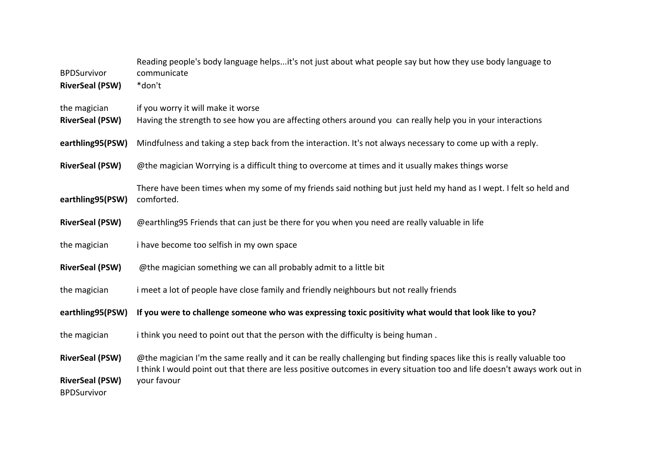| <b>BPDSurvivor</b><br><b>RiverSeal (PSW)</b> | Reading people's body language helpsit's not just about what people say but how they use body language to<br>communicate<br>*don't                |
|----------------------------------------------|---------------------------------------------------------------------------------------------------------------------------------------------------|
| the magician<br><b>RiverSeal (PSW)</b>       | if you worry it will make it worse<br>Having the strength to see how you are affecting others around you can really help you in your interactions |
| earthling95(PSW)                             | Mindfulness and taking a step back from the interaction. It's not always necessary to come up with a reply.                                       |
| <b>RiverSeal (PSW)</b>                       | @the magician Worrying is a difficult thing to overcome at times and it usually makes things worse                                                |
| earthling95(PSW)                             | There have been times when my some of my friends said nothing but just held my hand as I wept. I felt so held and<br>comforted.                   |
| <b>RiverSeal (PSW)</b>                       | @earthling95 Friends that can just be there for you when you need are really valuable in life                                                     |
| the magician                                 | i have become too selfish in my own space                                                                                                         |
| <b>RiverSeal (PSW)</b>                       | @the magician something we can all probably admit to a little bit                                                                                 |
| the magician                                 | i meet a lot of people have close family and friendly neighbours but not really friends                                                           |
| earthling95(PSW)                             | If you were to challenge someone who was expressing toxic positivity what would that look like to you?                                            |
| the magician                                 | i think you need to point out that the person with the difficulty is being human.                                                                 |
| <b>RiverSeal (PSW)</b>                       | @the magician I'm the same really and it can be really challenging but finding spaces like this is really valuable too                            |
| <b>RiverSeal (PSW)</b><br><b>BPDSurvivor</b> | I think I would point out that there are less positive outcomes in every situation too and life doesn't aways work out in<br>your favour          |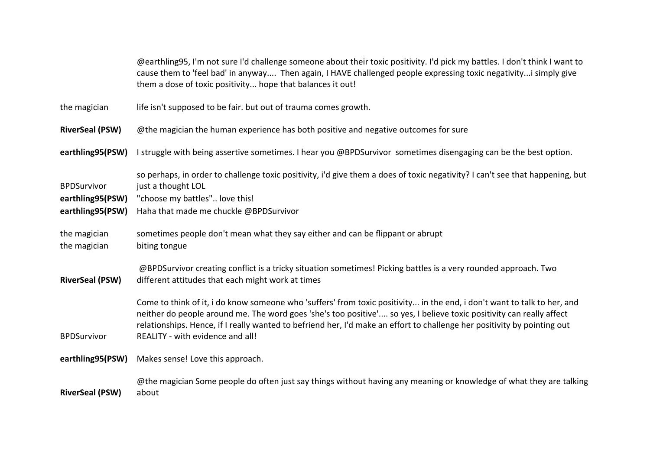@earthling95, I'm not sure I'd challenge someone about their toxic positivity. I'd pick my battles. I don't think I want to cause them to 'feel bad' in anyway.... Then again, I HAVE challenged people expressing toxic negativity...i simply give them a dose of toxic positivity... hope that balances it out! the magician life isn't supposed to be fair. but out of trauma comes growth. **RiverSeal (PSW)** @the magician the human experience has both positive and negative outcomes for sure **earthling95(PSW)** I struggle with being assertive sometimes. I hear you @BPDSurvivor sometimes disengaging can be the best option. **BPDSurvivor** so perhaps, in order to challenge toxic positivity, i'd give them a does of toxic negativity? I can't see that happening, but just a thought LOL **earthling95(PSW)** "choose my battles".. love this! **earthling95(PSW)** Haha that made me chuckle @BPDSurvivor the magician sometimes people don't mean what they say either and can be flippant or abrupt the magician biting tongue **RiverSeal (PSW)** @BPDSurvivor creating conflict is a tricky situation sometimes! Picking battles is a very rounded approach. Two different attitudes that each might work at times BPDSurvivor Come to think of it, i do know someone who 'suffers' from toxic positivity... in the end, i don't want to talk to her, and neither do people around me. The word goes 'she's too positive'.... so yes, I believe toxic positivity can really affect relationships. Hence, if I really wanted to befriend her, I'd make an effort to challenge her positivity by pointing out REALITY - with evidence and all! **earthling95(PSW)** Makes sense! Love this approach. **RiverSeal (PSW)** @the magician Some people do often just say things without having any meaning or knowledge of what they are talking about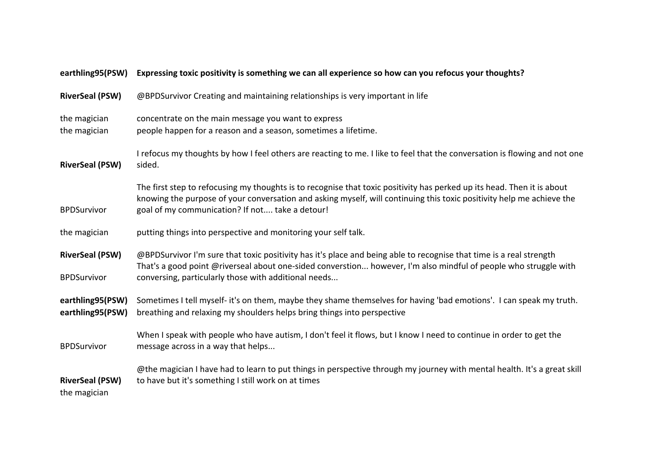| earthling95(PSW)                             | Expressing toxic positivity is something we can all experience so how can you refocus your thoughts?                                                                                                                                                                                                |
|----------------------------------------------|-----------------------------------------------------------------------------------------------------------------------------------------------------------------------------------------------------------------------------------------------------------------------------------------------------|
| <b>RiverSeal (PSW)</b>                       | @BPDSurvivor Creating and maintaining relationships is very important in life                                                                                                                                                                                                                       |
| the magician<br>the magician                 | concentrate on the main message you want to express<br>people happen for a reason and a season, sometimes a lifetime.                                                                                                                                                                               |
| <b>RiverSeal (PSW)</b>                       | I refocus my thoughts by how I feel others are reacting to me. I like to feel that the conversation is flowing and not one<br>sided.                                                                                                                                                                |
| <b>BPDSurvivor</b>                           | The first step to refocusing my thoughts is to recognise that toxic positivity has perked up its head. Then it is about<br>knowing the purpose of your conversation and asking myself, will continuing this toxic positivity help me achieve the<br>goal of my communication? If not take a detour! |
| the magician                                 | putting things into perspective and monitoring your self talk.                                                                                                                                                                                                                                      |
| <b>RiverSeal (PSW)</b><br><b>BPDSurvivor</b> | @BPDSurvivor I'm sure that toxic positivity has it's place and being able to recognise that time is a real strength<br>That's a good point @riverseal about one-sided converstion however, I'm also mindful of people who struggle with<br>conversing, particularly those with additional needs     |
| earthling95(PSW)<br>earthling95(PSW)         | Sometimes I tell myself- it's on them, maybe they shame themselves for having 'bad emotions'. I can speak my truth.<br>breathing and relaxing my shoulders helps bring things into perspective                                                                                                      |
| <b>BPDSurvivor</b>                           | When I speak with people who have autism, I don't feel it flows, but I know I need to continue in order to get the<br>message across in a way that helps                                                                                                                                            |
| <b>RiverSeal (PSW)</b><br>the magician       | @the magician I have had to learn to put things in perspective through my journey with mental health. It's a great skill<br>to have but it's something I still work on at times                                                                                                                     |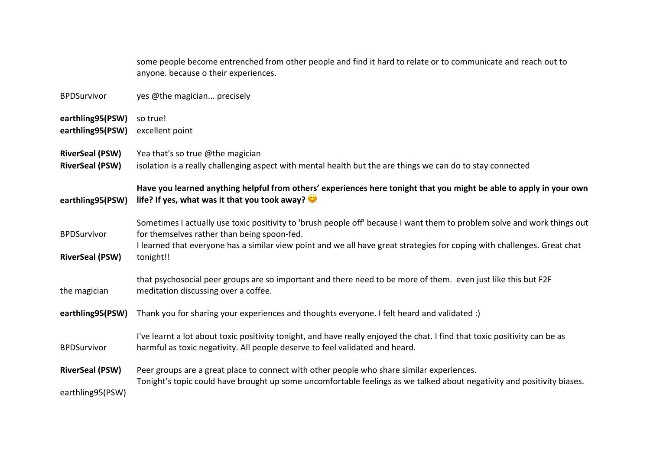|                                                  | some people become entrenched from other people and find it hard to relate or to communicate and reach out to<br>anyone. because o their experiences.                                                                                                                                                            |
|--------------------------------------------------|------------------------------------------------------------------------------------------------------------------------------------------------------------------------------------------------------------------------------------------------------------------------------------------------------------------|
| <b>BPDSurvivor</b>                               | yes @the magician precisely                                                                                                                                                                                                                                                                                      |
| earthling95(PSW)<br>earthling95(PSW)             | so true!<br>excellent point                                                                                                                                                                                                                                                                                      |
| <b>RiverSeal (PSW)</b><br><b>RiverSeal (PSW)</b> | Yea that's so true @the magician<br>isolation is a really challenging aspect with mental health but the are things we can do to stay connected                                                                                                                                                                   |
| earthling95(PSW)                                 | Have you learned anything helpful from others' experiences here tonight that you might be able to apply in your own<br>life? If yes, what was it that you took away?                                                                                                                                             |
| <b>BPDSurvivor</b><br><b>RiverSeal (PSW)</b>     | Sometimes I actually use toxic positivity to 'brush people off' because I want them to problem solve and work things out<br>for themselves rather than being spoon-fed.<br>I learned that everyone has a similar view point and we all have great strategies for coping with challenges. Great chat<br>tonight!! |
| the magician                                     | that psychosocial peer groups are so important and there need to be more of them. even just like this but F2F<br>meditation discussing over a coffee.                                                                                                                                                            |
| earthling95(PSW)                                 | Thank you for sharing your experiences and thoughts everyone. I felt heard and validated :)                                                                                                                                                                                                                      |
| <b>BPDSurvivor</b>                               | I've learnt a lot about toxic positivity tonight, and have really enjoyed the chat. I find that toxic positivity can be as<br>harmful as toxic negativity. All people deserve to feel validated and heard.                                                                                                       |
| <b>RiverSeal (PSW)</b><br>earthling95(PSW)       | Peer groups are a great place to connect with other people who share similar experiences.<br>Tonight's topic could have brought up some uncomfortable feelings as we talked about negativity and positivity biases.                                                                                              |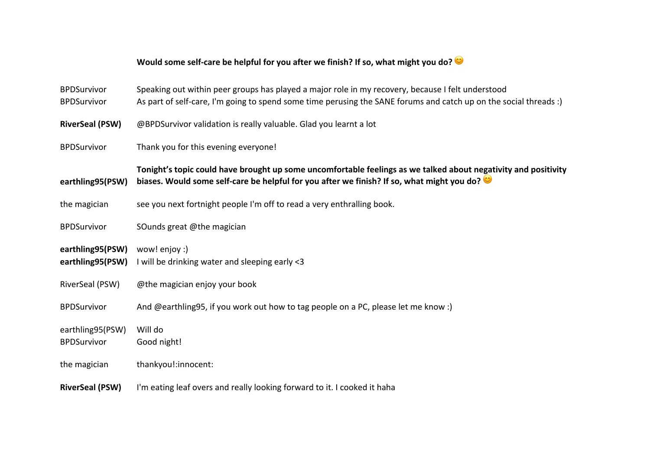## Would some self-care be helpful for you after we finish? If so, what might you do?

| <b>BPDSurvivor</b><br><b>BPDSurvivor</b> | Speaking out within peer groups has played a major role in my recovery, because I felt understood<br>As part of self-care, I'm going to spend some time perusing the SANE forums and catch up on the social threads :) |
|------------------------------------------|------------------------------------------------------------------------------------------------------------------------------------------------------------------------------------------------------------------------|
| <b>RiverSeal (PSW)</b>                   | @BPDSurvivor validation is really valuable. Glad you learnt a lot                                                                                                                                                      |
| <b>BPDSurvivor</b>                       | Thank you for this evening everyone!                                                                                                                                                                                   |
| earthling95(PSW)                         | Tonight's topic could have brought up some uncomfortable feelings as we talked about negativity and positivity<br>biases. Would some self-care be helpful for you after we finish? If so, what might you do?           |
| the magician                             | see you next fortnight people I'm off to read a very enthralling book.                                                                                                                                                 |
| <b>BPDSurvivor</b>                       | SOunds great @the magician                                                                                                                                                                                             |
| earthling95(PSW)<br>earthling95(PSW)     | wow! enjoy :)<br>I will be drinking water and sleeping early <3                                                                                                                                                        |
| RiverSeal (PSW)                          | @the magician enjoy your book                                                                                                                                                                                          |
| <b>BPDSurvivor</b>                       | And @earthling95, if you work out how to tag people on a PC, please let me know :)                                                                                                                                     |
| earthling95(PSW)<br><b>BPDSurvivor</b>   | Will do<br>Good night!                                                                                                                                                                                                 |
| the magician                             | thankyou!:innocent:                                                                                                                                                                                                    |
| <b>RiverSeal (PSW)</b>                   | I'm eating leaf overs and really looking forward to it. I cooked it haha                                                                                                                                               |